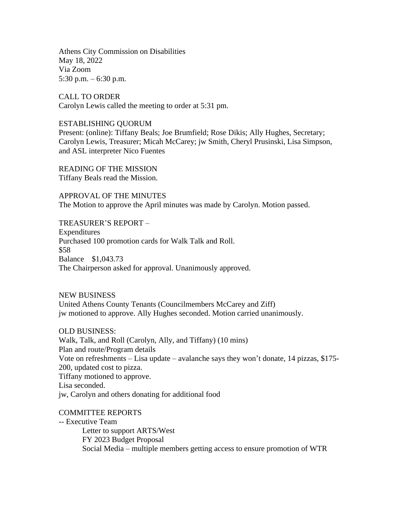Athens City Commission on Disabilities May 18, 2022 Via Zoom 5:30 p.m. – 6:30 p.m.

CALL TO ORDER Carolyn Lewis called the meeting to order at 5:31 pm.

## ESTABLISHING QUORUM

Present: (online): Tiffany Beals; Joe Brumfield; Rose Dikis; Ally Hughes, Secretary; Carolyn Lewis, Treasurer; Micah McCarey; jw Smith, Cheryl Prusinski, Lisa Simpson, and ASL interpreter Nico Fuentes

READING OF THE MISSION Tiffany Beals read the Mission.

APPROVAL OF THE MINUTES The Motion to approve the April minutes was made by Carolyn. Motion passed.

TREASURER'S REPORT –

Expenditures Purchased 100 promotion cards for Walk Talk and Roll. \$58 Balance \$1,043.73 The Chairperson asked for approval. Unanimously approved.

NEW BUSINESS United Athens County Tenants (Councilmembers McCarey and Ziff) jw motioned to approve. Ally Hughes seconded. Motion carried unanimously.

OLD BUSINESS:

Walk, Talk, and Roll (Carolyn, Ally, and Tiffany) (10 mins) Plan and route/Program details Vote on refreshments – Lisa update – avalanche says they won't donate, 14 pizzas, \$175- 200, updated cost to pizza. Tiffany motioned to approve. Lisa seconded. jw, Carolyn and others donating for additional food

## COMMITTEE REPORTS

-- Executive Team

Letter to support ARTS/West FY 2023 Budget Proposal Social Media – multiple members getting access to ensure promotion of WTR